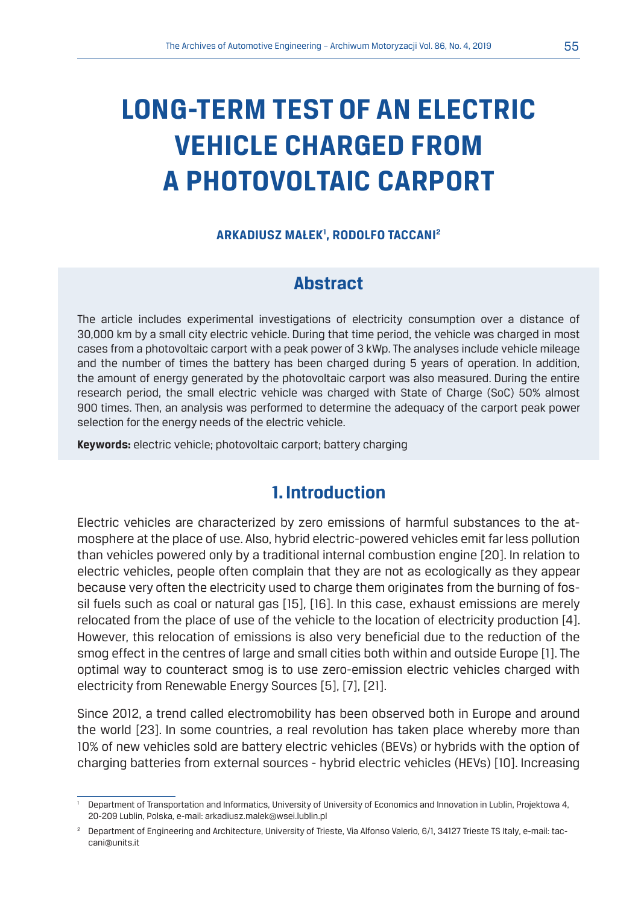# **LONG-TERM TEST OF AN ELECTRIC VEHICLE CHARGED FROM A PHOTOVOLTAIC CARPORT**

### **ARKADIUSZ MAŁEK1 , RODOLFO TACCANI2**

## **Abstract**

The article includes experimental investigations of electricity consumption over a distance of 30,000 km by a small city electric vehicle. During that time period, the vehicle was charged in most cases from a photovoltaic carport with a peak power of 3 kWp. The analyses include vehicle mileage and the number of times the battery has been charged during 5 years of operation. In addition, the amount of energy generated by the photovoltaic carport was also measured. During the entire research period, the small electric vehicle was charged with State of Charge (SoC) 50% almost 900 times. Then, an analysis was performed to determine the adequacy of the carport peak power selection for the energy needs of the electric vehicle.

**Keywords:** electric vehicle; photovoltaic carport; battery charging

## **1. Introduction**

Electric vehicles are characterized by zero emissions of harmful substances to the atmosphere at the place of use. Also, hybrid electric-powered vehicles emit far less pollution than vehicles powered only by a traditional internal combustion engine [20]. In relation to electric vehicles, people often complain that they are not as ecologically as they appear because very often the electricity used to charge them originates from the burning of fossil fuels such as coal or natural gas [15], [16]. In this case, exhaust emissions are merely relocated from the place of use of the vehicle to the location of electricity production [4]. However, this relocation of emissions is also very beneficial due to the reduction of the smog effect in the centres of large and small cities both within and outside Europe [1]. The optimal way to counteract smog is to use zero-emission electric vehicles charged with electricity from Renewable Energy Sources [5], [7], [21].

Since 2012, a trend called electromobility has been observed both in Europe and around the world [23]. In some countries, a real revolution has taken place whereby more than 10% of new vehicles sold are battery electric vehicles (BEVs) or hybrids with the option of charging batteries from external sources - hybrid electric vehicles (HEVs) [10]. Increasing

<sup>1</sup> Department of Transportation and Informatics, University of University of Economics and Innovation in Lublin, Projektowa 4, 20-209 Lublin, Polska, e-mail: arkadiusz.malek@wsei.lublin.pl

<sup>2</sup> Department of Engineering and Architecture, University of Trieste, Via Alfonso Valerio, 6/1, 34127 Trieste TS Italy, e-mail: taccani@units.it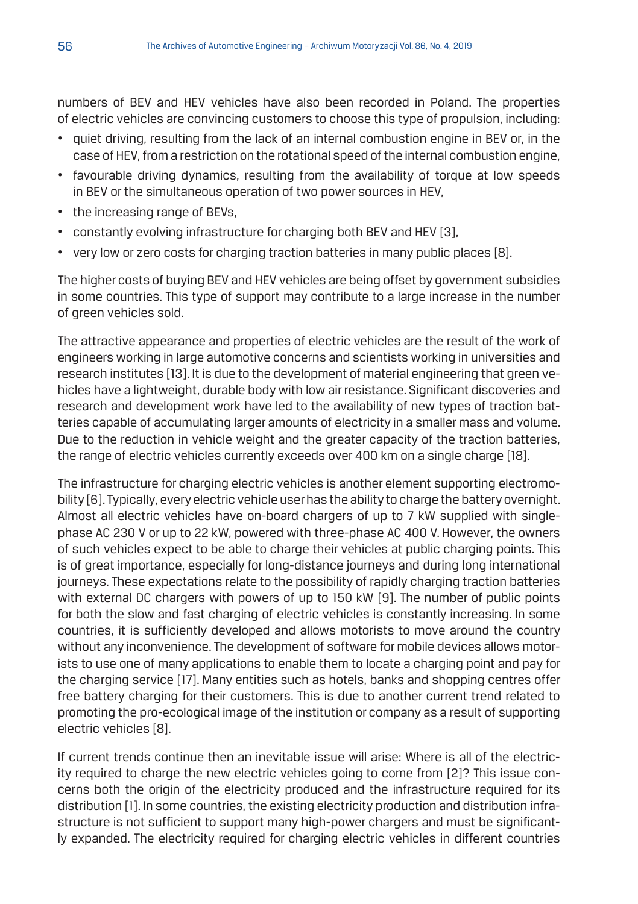numbers of BEV and HEV vehicles have also been recorded in Poland. The properties of electric vehicles are convincing customers to choose this type of propulsion, including:

- quiet driving, resulting from the lack of an internal combustion engine in BEV or, in the case of HEV, from a restriction on the rotational speed of the internal combustion engine,
- favourable driving dynamics, resulting from the availability of torque at low speeds in BEV or the simultaneous operation of two power sources in HEV,
- the increasing range of BEVs,
- constantly evolving infrastructure for charging both BEV and HEV [3],
- very low or zero costs for charging traction batteries in many public places [8].

The higher costs of buying BEV and HEV vehicles are being offset by government subsidies in some countries. This type of support may contribute to a large increase in the number of green vehicles sold.

The attractive appearance and properties of electric vehicles are the result of the work of engineers working in large automotive concerns and scientists working in universities and research institutes [13]. It is due to the development of material engineering that green vehicles have a lightweight, durable body with low air resistance. Significant discoveries and research and development work have led to the availability of new types of traction batteries capable of accumulating larger amounts of electricity in a smaller mass and volume. Due to the reduction in vehicle weight and the greater capacity of the traction batteries, the range of electric vehicles currently exceeds over 400 km on a single charge [18].

The infrastructure for charging electric vehicles is another element supporting electromobility [6]. Typically, every electric vehicle user has the ability to charge the battery overnight. Almost all electric vehicles have on-board chargers of up to 7 kW supplied with singlephase AC 230 V or up to 22 kW, powered with three-phase AC 400 V. However, the owners of such vehicles expect to be able to charge their vehicles at public charging points. This is of great importance, especially for long-distance journeys and during long international journeys. These expectations relate to the possibility of rapidly charging traction batteries with external DC chargers with powers of up to 150 kW [9]. The number of public points for both the slow and fast charging of electric vehicles is constantly increasing. In some countries, it is sufficiently developed and allows motorists to move around the country without any inconvenience. The development of software for mobile devices allows motorists to use one of many applications to enable them to locate a charging point and pay for the charging service [17]. Many entities such as hotels, banks and shopping centres offer free battery charging for their customers. This is due to another current trend related to promoting the pro-ecological image of the institution or company as a result of supporting electric vehicles [8].

If current trends continue then an inevitable issue will arise: Where is all of the electricity required to charge the new electric vehicles going to come from [2]? This issue concerns both the origin of the electricity produced and the infrastructure required for its distribution [1]. In some countries, the existing electricity production and distribution infrastructure is not sufficient to support many high-power chargers and must be significantly expanded. The electricity required for charging electric vehicles in different countries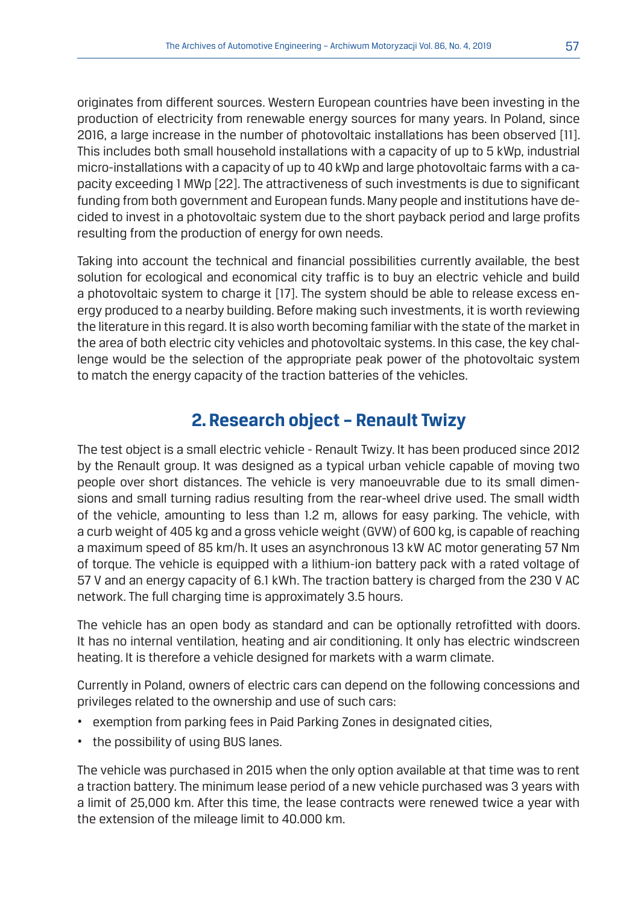originates from different sources. Western European countries have been investing in the production of electricity from renewable energy sources for many years. In Poland, since 2016, a large increase in the number of photovoltaic installations has been observed [11]. This includes both small household installations with a capacity of up to 5 kWp, industrial micro-installations with a capacity of up to 40 kWp and large photovoltaic farms with a capacity exceeding 1 MWp [22]. The attractiveness of such investments is due to significant funding from both government and European funds. Many people and institutions have decided to invest in a photovoltaic system due to the short payback period and large profits resulting from the production of energy for own needs.

Taking into account the technical and financial possibilities currently available, the best solution for ecological and economical city traffic is to buy an electric vehicle and build a photovoltaic system to charge it [17]. The system should be able to release excess energy produced to a nearby building. Before making such investments, it is worth reviewing the literature in this regard. It is also worth becoming familiar with the state of the market in the area of both electric city vehicles and photovoltaic systems. In this case, the key challenge would be the selection of the appropriate peak power of the photovoltaic system to match the energy capacity of the traction batteries of the vehicles.

## **2. Research object – Renault Twizy**

The test object is a small electric vehicle - Renault Twizy. It has been produced since 2012 by the Renault group. It was designed as a typical urban vehicle capable of moving two people over short distances. The vehicle is very manoeuvrable due to its small dimensions and small turning radius resulting from the rear-wheel drive used. The small width of the vehicle, amounting to less than 1.2 m, allows for easy parking. The vehicle, with a curb weight of 405 kg and a gross vehicle weight (GVW) of 600 kg, is capable of reaching a maximum speed of 85 km/h. It uses an asynchronous 13 kW AC motor generating 57 Nm of torque. The vehicle is equipped with a lithium-ion battery pack with a rated voltage of 57 V and an energy capacity of 6.1 kWh. The traction battery is charged from the 230 V AC network. The full charging time is approximately 3.5 hours.

The vehicle has an open body as standard and can be optionally retrofitted with doors. It has no internal ventilation, heating and air conditioning. It only has electric windscreen heating. It is therefore a vehicle designed for markets with a warm climate.

Currently in Poland, owners of electric cars can depend on the following concessions and privileges related to the ownership and use of such cars:

- exemption from parking fees in Paid Parking Zones in designated cities,
- the possibility of using BUS lanes.

The vehicle was purchased in 2015 when the only option available at that time was to rent a traction battery. The minimum lease period of a new vehicle purchased was 3 years with a limit of 25,000 km. After this time, the lease contracts were renewed twice a year with the extension of the mileage limit to 40.000 km.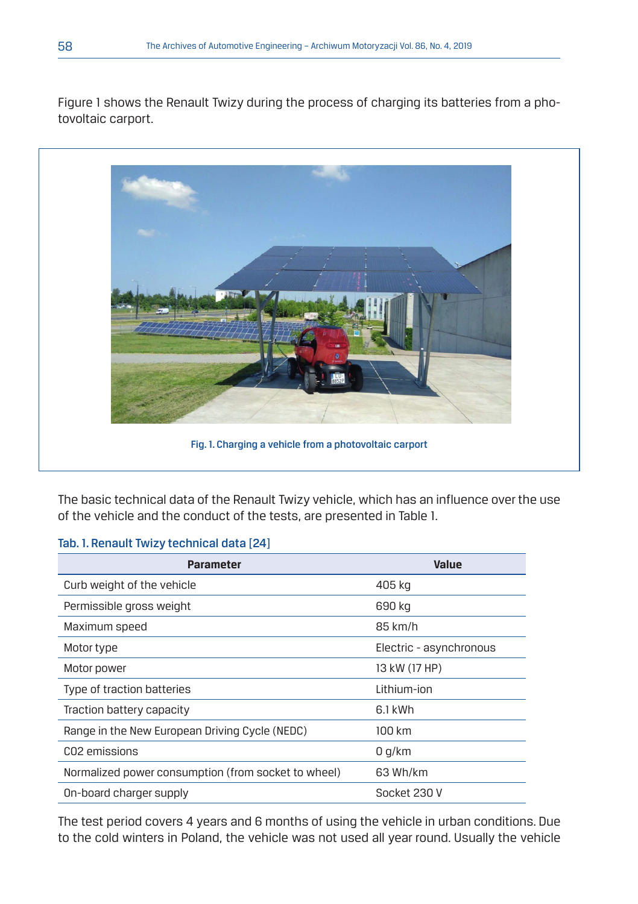Figure 1 shows the Renault Twizy during the process of charging its batteries from a photovoltaic carport.



The basic technical data of the Renault Twizy vehicle, which has an influence over the use of the vehicle and the conduct of the tests, are presented in Table 1.

#### Tab. 1. Renault Twizy technical data [24]

| <b>Parameter</b>                                    | <b>Value</b>            |
|-----------------------------------------------------|-------------------------|
| Curb weight of the vehicle                          | 405 kg                  |
| Permissible gross weight                            | 690 kg                  |
| Maximum speed                                       | 85 km/h                 |
| Motor type                                          | Electric - asynchronous |
| Motor power                                         | 13 kW (17 HP)           |
| Type of traction batteries                          | Lithium-ion             |
| Traction battery capacity                           | 6.1 kWh                 |
| Range in the New European Driving Cycle (NEDC)      | 100 km                  |
| CO <sub>2</sub> emissions                           | 0 q/km                  |
| Normalized power consumption (from socket to wheel) | 63 Wh/km                |
| On-board charger supply                             | Socket 230 V            |

The test period covers 4 years and 6 months of using the vehicle in urban conditions. Due to the cold winters in Poland, the vehicle was not used all year round. Usually the vehicle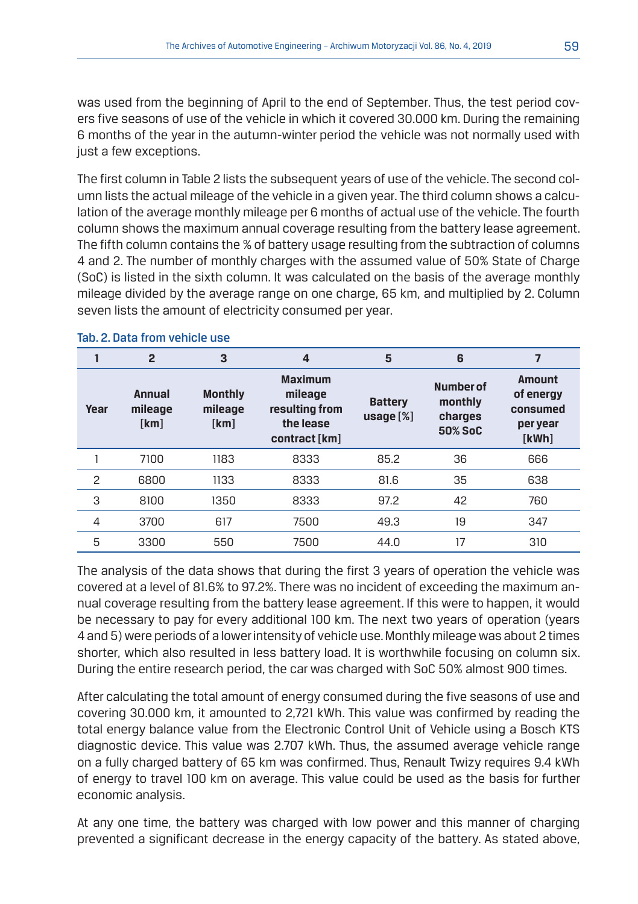was used from the beginning of April to the end of September. Thus, the test period covers five seasons of use of the vehicle in which it covered 30.000 km. During the remaining 6 months of the year in the autumn-winter period the vehicle was not normally used with just a few exceptions.

The first column in Table 2 lists the subsequent years of use of the vehicle. The second column lists the actual mileage of the vehicle in a given year. The third column shows a calculation of the average monthly mileage per 6 months of actual use of the vehicle. The fourth column shows the maximum annual coverage resulting from the battery lease agreement. The fifth column contains the % of battery usage resulting from the subtraction of columns 4 and 2. The number of monthly charges with the assumed value of 50% State of Charge (SoC) is listed in the sixth column. It was calculated on the basis of the average monthly mileage divided by the average range on one charge, 65 km, and multiplied by 2. Column seven lists the amount of electricity consumed per year.

|                | $\overline{2}$            | 3                                 | 4                                                                         | 5                              | 6                                                 | 7                                                    |
|----------------|---------------------------|-----------------------------------|---------------------------------------------------------------------------|--------------------------------|---------------------------------------------------|------------------------------------------------------|
| Year           | Annual<br>mileage<br>[km] | <b>Monthly</b><br>mileage<br>[km] | <b>Maximum</b><br>mileage<br>resulting from<br>the lease<br>contract [km] | <b>Battery</b><br>usage $[\%]$ | <b>Number of</b><br>monthly<br>charges<br>50% SoC | Amount<br>of energy<br>consumed<br>per year<br>[kWh] |
|                | 7100                      | 1183                              | 8333                                                                      | 85.2                           | 36                                                | 666                                                  |
| $\overline{c}$ | 6800                      | 1133                              | 8333                                                                      | 81.6                           | 35                                                | 638                                                  |
| 3              | 8100                      | 1350                              | 8333                                                                      | 97.2                           | 42                                                | 760                                                  |
| 4              | 3700                      | 617                               | 7500                                                                      | 49.3                           | 19                                                | 347                                                  |
| 5              | 3300                      | 550                               | 7500                                                                      | 44.0                           | 17                                                | 310                                                  |

#### Tab. 2. Data from vehicle use

The analysis of the data shows that during the first 3 years of operation the vehicle was covered at a level of 81.6% to 97.2%. There was no incident of exceeding the maximum annual coverage resulting from the battery lease agreement. If this were to happen, it would be necessary to pay for every additional 100 km. The next two years of operation (years 4 and 5) were periods of a lower intensity of vehicle use. Monthly mileage was about 2 times shorter, which also resulted in less battery load. It is worthwhile focusing on column six. During the entire research period, the car was charged with SoC 50% almost 900 times.

After calculating the total amount of energy consumed during the five seasons of use and covering 30.000 km, it amounted to 2,721 kWh. This value was confirmed by reading the total energy balance value from the Electronic Control Unit of Vehicle using a Bosch KTS diagnostic device. This value was 2.707 kWh. Thus, the assumed average vehicle range on a fully charged battery of 65 km was confirmed. Thus, Renault Twizy requires 9.4 kWh of energy to travel 100 km on average. This value could be used as the basis for further economic analysis.

At any one time, the battery was charged with low power and this manner of charging prevented a significant decrease in the energy capacity of the battery. As stated above,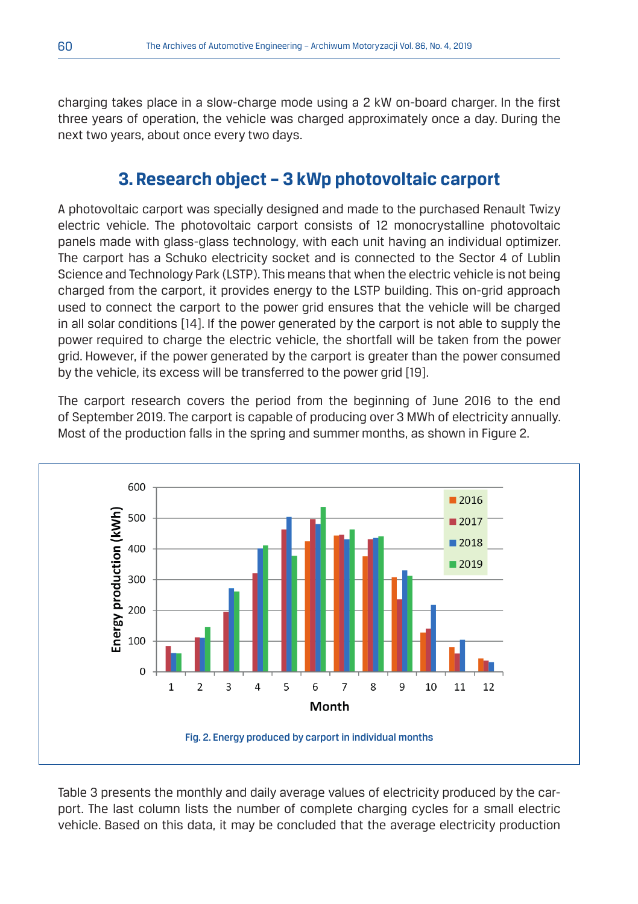charging takes place in a slow-charge mode using a 2 kW on-board charger. In the first three years of operation, the vehicle was charged approximately once a day. During the next two years, about once every two days.

## **3. Research object – 3 kWp photovoltaic carport**

A photovoltaic carport was specially designed and made to the purchased Renault Twizy electric vehicle. The photovoltaic carport consists of 12 monocrystalline photovoltaic panels made with glass-glass technology, with each unit having an individual optimizer. The carport has a Schuko electricity socket and is connected to the Sector 4 of Lublin Science and Technology Park (LSTP). This means that when the electric vehicle is not being charged from the carport, it provides energy to the LSTP building. This on-grid approach used to connect the carport to the power grid ensures that the vehicle will be charged in all solar conditions [14]. If the power generated by the carport is not able to supply the power required to charge the electric vehicle, the shortfall will be taken from the power grid. However, if the power generated by the carport is greater than the power consumed by the vehicle, its excess will be transferred to the power grid [19].

The carport research covers the period from the beginning of June 2016 to the end of September 2019. The carport is capable of producing over 3 MWh of electricity annually. Most of the production falls in the spring and summer months, as shown in Figure 2.



Table 3 presents the monthly and daily average values of electricity produced by the carport. The last column lists the number of complete charging cycles for a small electric vehicle. Based on this data, it may be concluded that the average electricity production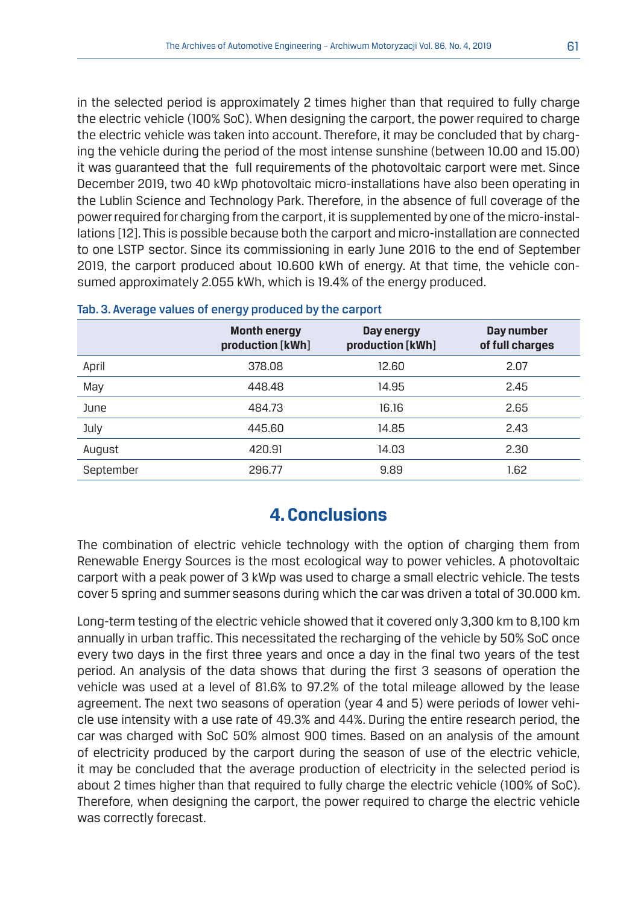in the selected period is approximately 2 times higher than that required to fully charge the electric vehicle (100% SoC). When designing the carport, the power required to charge the electric vehicle was taken into account. Therefore, it may be concluded that by charging the vehicle during the period of the most intense sunshine (between 10.00 and 15.00) it was guaranteed that the full requirements of the photovoltaic carport were met. Since December 2019, two 40 kWp photovoltaic micro-installations have also been operating in the Lublin Science and Technology Park. Therefore, in the absence of full coverage of the power required for charging from the carport, it is supplemented by one of the micro-installations [12]. This is possible because both the carport and micro-installation are connected to one LSTP sector. Since its commissioning in early June 2016 to the end of September 2019, the carport produced about 10.600 kWh of energy. At that time, the vehicle consumed approximately 2.055 kWh, which is 19.4% of the energy produced.

|           | <b>Month energy</b><br>production [kWh] | Day energy<br>production [kWh] | Day number<br>of full charges |
|-----------|-----------------------------------------|--------------------------------|-------------------------------|
| April     | 378.08                                  | 12.60                          | 2.07                          |
| May       | 448.48                                  | 14.95                          | 2.45                          |
| June      | 484.73                                  | 16.16                          | 2.65                          |
| July      | 445.60                                  | 14.85                          | 2.43                          |
| August    | 420.91                                  | 14.03                          | 2.30                          |
| September | 296.77                                  | 9.89                           | 1.62                          |

#### Tab. 3. Average values of energy produced by the carport

## **4. Conclusions**

The combination of electric vehicle technology with the option of charging them from Renewable Energy Sources is the most ecological way to power vehicles. A photovoltaic carport with a peak power of 3 kWp was used to charge a small electric vehicle. The tests cover 5 spring and summer seasons during which the car was driven a total of 30.000 km.

Long-term testing of the electric vehicle showed that it covered only 3,300 km to 8,100 km annually in urban traffic. This necessitated the recharging of the vehicle by 50% SoC once every two days in the first three years and once a day in the final two years of the test period. An analysis of the data shows that during the first 3 seasons of operation the vehicle was used at a level of 81.6% to 97.2% of the total mileage allowed by the lease agreement. The next two seasons of operation (year 4 and 5) were periods of lower vehicle use intensity with a use rate of 49.3% and 44%. During the entire research period, the car was charged with SoC 50% almost 900 times. Based on an analysis of the amount of electricity produced by the carport during the season of use of the electric vehicle, it may be concluded that the average production of electricity in the selected period is about 2 times higher than that required to fully charge the electric vehicle (100% of SoC). Therefore, when designing the carport, the power required to charge the electric vehicle was correctly forecast.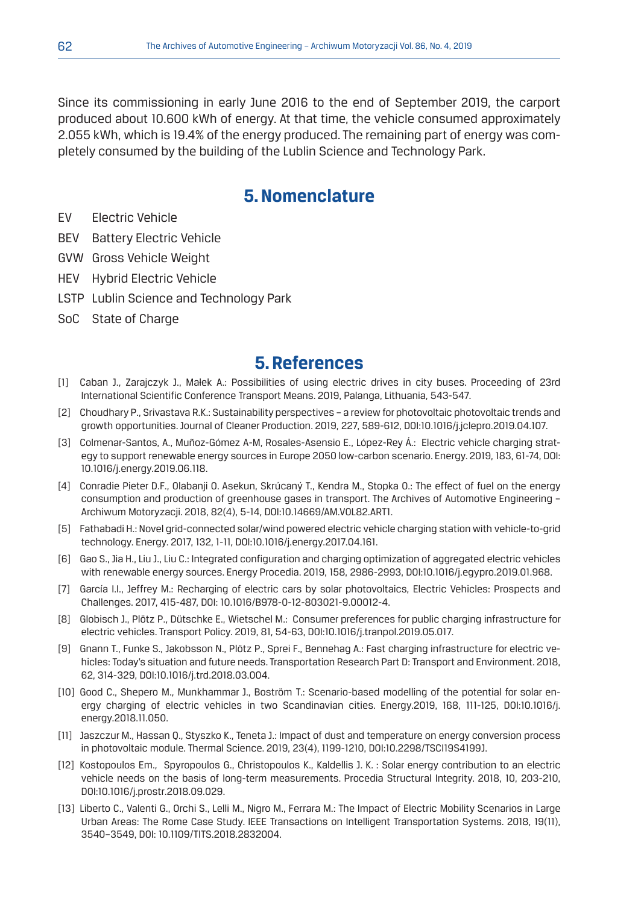Since its commissioning in early June 2016 to the end of September 2019, the carport produced about 10.600 kWh of energy. At that time, the vehicle consumed approximately 2.055 kWh, which is 19.4% of the energy produced. The remaining part of energy was completely consumed by the building of the Lublin Science and Technology Park.

## **5. Nomenclature**

- EV Electric Vehicle
- BEV Battery Electric Vehicle
- GVW Gross Vehicle Weight
- HEV Hybrid Electric Vehicle
- LSTP Lublin Science and Technology Park
- SoC State of Charge

## **5. References**

- [1] Caban J., Zarajczyk J., Małek A.: Possibilities of using electric drives in city buses. Proceeding of 23rd International Scientific Conference Transport Means. 2019, Palanga, Lithuania, 543-547.
- [2] Choudhary P., Srivastava R.K.: Sustainability perspectives a review for photovoltaic photovoltaic trends and growth opportunities. Journal of Cleaner Production. 2019, 227, 589-612, DOI:10.1016/j.jclepro.2019.04.107.
- [3] Colmenar-Santos, A., Muñoz-Gómez A-M, Rosales-Asensio E., López-Rey Á.: Electric vehicle charging strategy to support renewable energy sources in Europe 2050 low-carbon scenario. Energy. 2019, 183, 61-74, DOI: 10.1016/j.energy.2019.06.118.
- [4] Conradie Pieter D.F., Olabanji O. Asekun, Skrúcaný T., Kendra M., Stopka O.: The effect of fuel on the energy consumption and production of greenhouse gases in transport. The Archives of Automotive Engineering – Archiwum Motoryzacji. 2018, 82(4), 5-14, DOI:10.14669/AM.VOL82.ART1.
- [5] Fathabadi H.: Novel grid-connected solar/wind powered electric vehicle charging station with vehicle-to-grid technology. Energy. 2017, 132, 1-11, DOI:10.1016/j.energy.2017.04.161.
- [6] Gao S., Jia H., Liu J., Liu C.: Integrated configuration and charging optimization of aggregated electric vehicles with renewable energy sources. Energy Procedia. 2019, 158, 2986-2993, DOI:10.1016/j.egypro.2019.01.968.
- [7] García I.I., Jeffrey M.: Recharging of electric cars by solar photovoltaics, Electric Vehicles: Prospects and Challenges. 2017, 415-487, DOI: 10.1016/B978-0-12-803021-9.00012-4.
- [8] Globisch J., Plötz P., Dütschke E., Wietschel M.: Consumer preferences for public charging infrastructure for electric vehicles. Transport Policy. 2019, 81, 54-63, DOI:10.1016/j.tranpol.2019.05.017.
- [9] Gnann T., Funke S., Jakobsson N., Plötz P., Sprei F., Bennehag A.: Fast charging infrastructure for electric vehicles: Today's situation and future needs. Transportation Research Part D: Transport and Environment. 2018, 62, 314-329, DOI:10.1016/j.trd.2018.03.004.
- [10] Good C., Shepero M., Munkhammar J., Boström T.: Scenario-based modelling of the potential for solar energy charging of electric vehicles in two Scandinavian cities. Energy.2019, 168, 111-125, DOI:10.1016/j. energy.2018.11.050.
- [11] Jaszczur M., Hassan Q., Styszko K., Teneta J.: Impact of dust and temperature on energy conversion process in photovoltaic module. Thermal Science. 2019, 23(4), 1199-1210, DOI:10.2298/TSCI19S4199J.
- [12] Kostopoulos Em., Spyropoulos G., Christopoulos K., Kaldellis J. K. : Solar energy contribution to an electric vehicle needs on the basis of long-term measurements. Procedia Structural Integrity. 2018, 10, 203-210, DOI:10.1016/j.prostr.2018.09.029.
- [13] Liberto C., Valenti G., Orchi S., Lelli M., Nigro M., Ferrara M.: The Impact of Electric Mobility Scenarios in Large Urban Areas: The Rome Case Study. IEEE Transactions on Intelligent Transportation Systems. 2018, 19(11), 3540–3549, DOI: 10.1109/TITS.2018.2832004.